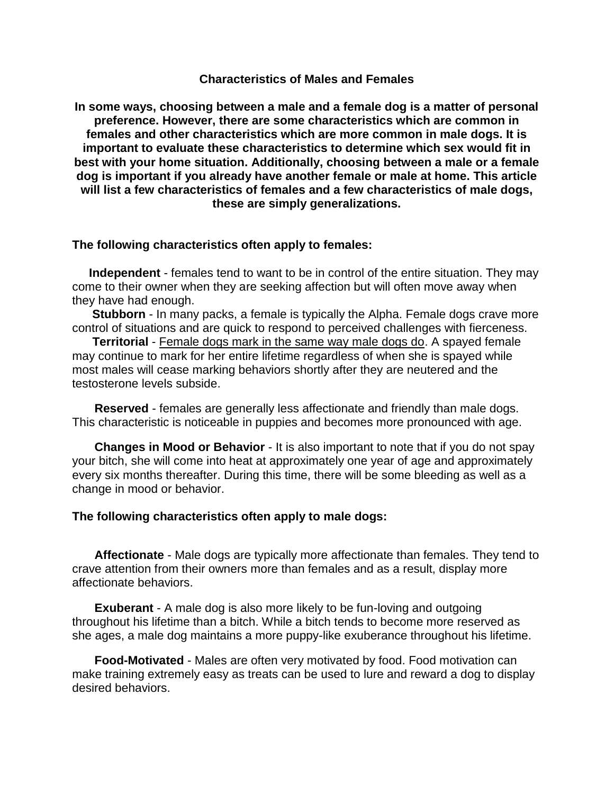## **Characteristics of Males and Females**

**In some ways, choosing between a male and a female dog is a matter of personal preference. However, there are some characteristics which are common in females and other characteristics which are more common in male dogs. It is important to evaluate these characteristics to determine which sex would fit in best with your home situation. Additionally, choosing between a male or a female dog is important if you already have another female or male at home. This article will list a few characteristics of females and a few characteristics of male dogs, these are simply generalizations.** 

## **The following characteristics often apply to females:**

 **Independent** - females tend to want to be in control of the entire situation. They may come to their owner when they are seeking affection but will often move away when they have had enough.

**Stubborn** - In many packs, a female is typically the Alpha. Female dogs crave more control of situations and are quick to respond to perceived challenges with fierceness.

**Territorial** - Female dogs mark in the same way male dogs do. A spayed female may continue to mark for her entire lifetime regardless of when she is spayed while most males will cease marking behaviors shortly after they are neutered and the testosterone levels subside.

**Reserved** - females are generally less affectionate and friendly than male dogs. This characteristic is noticeable in puppies and becomes more pronounced with age.

**Changes in Mood or Behavior** - It is also important to note that if you do not spay your bitch, she will come into heat at approximately one year of age and approximately every six months thereafter. During this time, there will be some bleeding as well as a change in mood or behavior.

## **The following characteristics often apply to male dogs:**

**Affectionate** - Male dogs are typically more affectionate than females. They tend to crave attention from their owners more than females and as a result, display more affectionate behaviors.

**Exuberant** - A male dog is also more likely to be fun-loving and outgoing throughout his lifetime than a bitch. While a bitch tends to become more reserved as she ages, a male dog maintains a more puppy-like exuberance throughout his lifetime.

**Food-Motivated** - Males are often very motivated by food. Food motivation can make training extremely easy as treats can be used to lure and reward a dog to display desired behaviors.